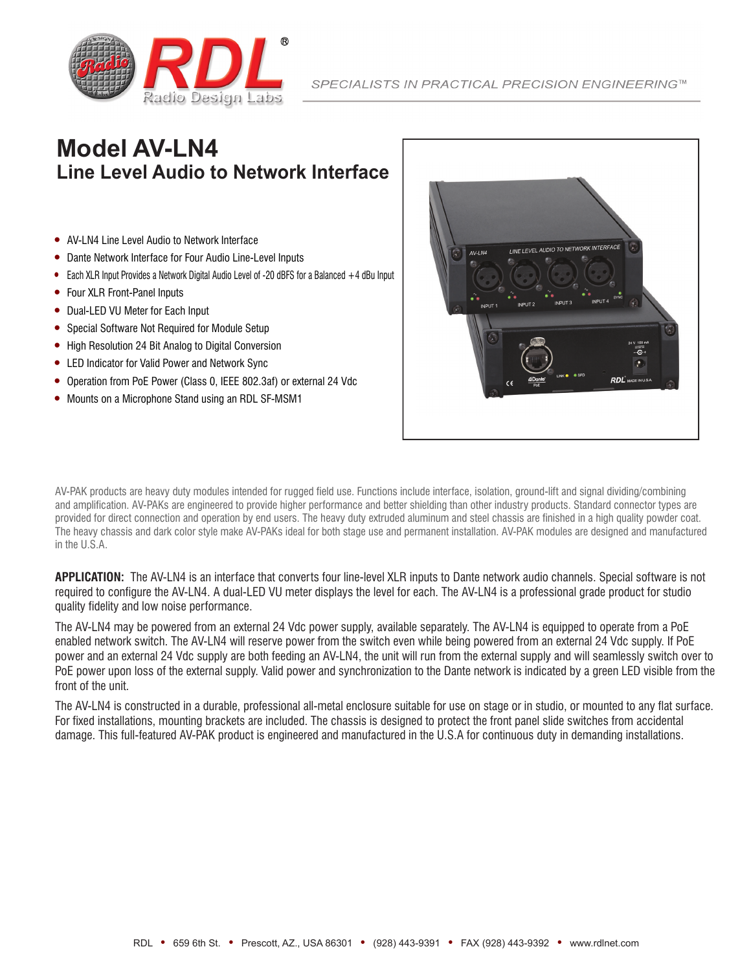

# **Model AV-LN4 Line Level Audio to Network Interface**

- AV-LN4 Line Level Audio to Network Interface
- Dante Network Interface for Four Audio Line-Level Inputs
- Each XLR Input Provides a Network Digital Audio Level of -20 dBFS for a Balanced +4 dBu Input
- Four XLR Front-Panel Inputs
- Dual-LED VU Meter for Each Input
- Special Software Not Required for Module Setup
- High Resolution 24 Bit Analog to Digital Conversion
- LED Indicator for Valid Power and Network Sync
- Operation from PoE Power (Class 0, IEEE 802.3af) or external 24 Vdc
- Mounts on a Microphone Stand using an RDL SF-MSM1



AV-PAK products are heavy duty modules intended for rugged field use. Functions include interface, isolation, ground-lift and signal dividing/combining and amplification. AV-PAKs are engineered to provide higher performance and better shielding than other industry products. Standard connector types are provided for direct connection and operation by end users. The heavy duty extruded aluminum and steel chassis are finished in a high quality powder coat. The heavy chassis and dark color style make AV-PAKs ideal for both stage use and permanent installation. AV-PAK modules are designed and manufactured in the U.S.A.

**APPLICATION:** The AV-LN4 is an interface that converts four line-level XLR inputs to Dante network audio channels. Special software is not required to configure the AV-LN4. A dual-LED VU meter displays the level for each. The AV-LN4 is a professional grade product for studio quality fidelity and low noise performance.

The AV-LN4 may be powered from an external 24 Vdc power supply, available separately. The AV-LN4 is equipped to operate from a PoE enabled network switch. The AV-LN4 will reserve power from the switch even while being powered from an external 24 Vdc supply. If PoE power and an external 24 Vdc supply are both feeding an AV-LN4, the unit will run from the external supply and will seamlessly switch over to PoE power upon loss of the external supply. Valid power and synchronization to the Dante network is indicated by a green LED visible from the front of the unit.

The AV-LN4 is constructed in a durable, professional all-metal enclosure suitable for use on stage or in studio, or mounted to any flat surface. For fixed installations, mounting brackets are included. The chassis is designed to protect the front panel slide switches from accidental damage. This full-featured AV-PAK product is engineered and manufactured in the U.S.A for continuous duty in demanding installations.